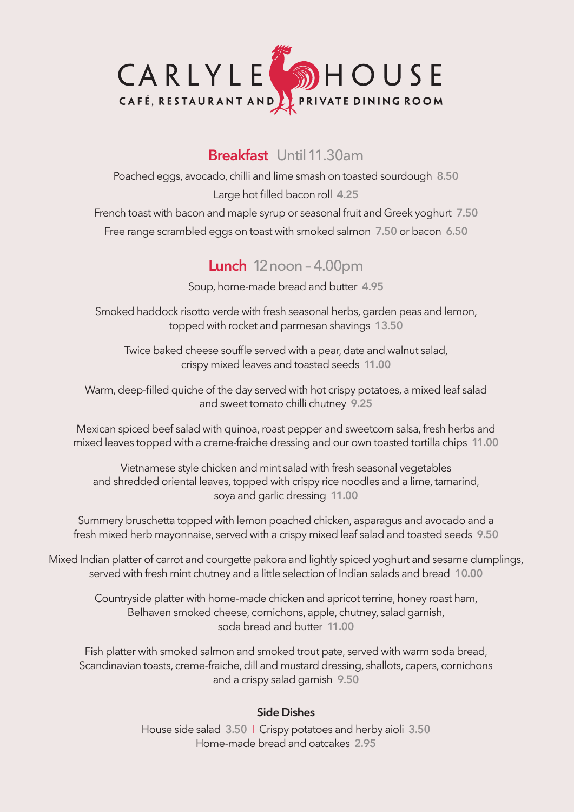

### **Breakfast** Until 11.30am

Poached eggs, avocado, chilli and lime smash on toasted sourdough **8.50** Large hot filled bacon roll **4.25**

French toast with bacon and maple syrup or seasonal fruit and Greek yoghurt **7.50** Free range scrambled eggs on toast with smoked salmon **7.50** or bacon **6.50**

## **Lunch** 12noon – 4.00pm

Soup, home-made bread and butter **4.95**

Smoked haddock risotto verde with fresh seasonal herbs, garden peas and lemon, topped with rocket and parmesan shavings **13.50**

Twice baked cheese souffle served with a pear, date and walnut salad, crispy mixed leaves and toasted seeds **11.00**

Warm, deep-filled quiche of the day served with hot crispy potatoes, a mixed leaf salad and sweet tomato chilli chutney **9.25**

Mexican spiced beef salad with quinoa, roast pepper and sweetcorn salsa, fresh herbs and mixed leaves topped with a creme-fraiche dressing and our own toasted tortilla chips **11.00**

Vietnamese style chicken and mint salad with fresh seasonal vegetables and shredded oriental leaves, topped with crispy rice noodles and a lime, tamarind, soya and garlic dressing **11.00**

Summery bruschetta topped with lemon poached chicken, asparagus and avocado and a fresh mixed herb mayonnaise, served with a crispy mixed leaf salad and toasted seeds **9.50**

Mixed Indian platter of carrot and courgette pakora and lightly spiced yoghurt and sesame dumplings, served with fresh mint chutney and a little selection of Indian salads and bread **10.00**

Countryside platter with home-made chicken and apricot terrine, honey roast ham, Belhaven smoked cheese, cornichons, apple, chutney, salad garnish, soda bread and butter **11.00**

Fish platter with smoked salmon and smoked trout pate, served with warm soda bread, Scandinavian toasts, creme-fraiche, dill and mustard dressing, shallots, capers, cornichons and a crispy salad garnish **9.50**

#### **Side Dishes**

House side salad **3.50** I Crispy potatoes and herby aioli **3.50** Home-made bread and oatcakes **2.95**